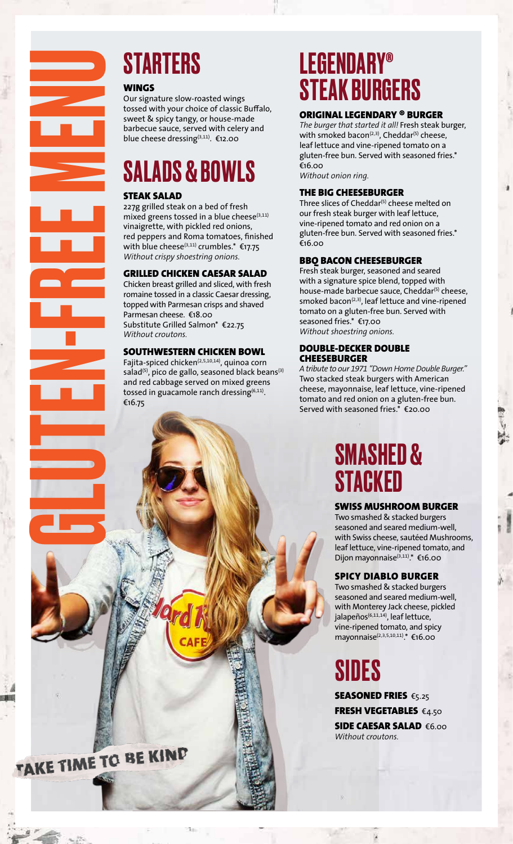

#### WINGS

Our signature slow-roasted wings tossed with your choice of classic Buffalo, sweet & spicy tangy, or house-made barbecue sauce, served with celery and blue cheese dressing(3,11). €12.00

## SALADS & BOWLS

#### STEAK SALAD

227g grilled steak on a bed of fresh mixed greens tossed in a blue cheese $(3,11)$ vinaigrette, with pickled red onions, red peppers and Roma tomatoes, finished with blue cheese<sup>(3,11)</sup> crumbles.<sup>\*</sup>  $\epsilon$ 17.75 *Without crispy shoestring onions.*

#### GRILLED CHICKEN CAESAR SALAD

Chicken breast grilled and sliced, with fresh romaine tossed in a classic Caesar dressing, topped with Parmesan crisps and shaved Parmesan cheese. €18.00 Substitute Grilled Salmon\* €22.75 *Without croutons.* 

#### SOUTHWESTERN CHICKEN BOWL

Fajita-spiced chicken<sup>(2,5,10,14)</sup>, quinoa corn salad<sup>(5)</sup>, pico de gallo, seasoned black beans<sup>(3)</sup> and red cabbage served on mixed greens tossed in guacamole ranch dressing $^{(6,11)}$ . €16.75

## LEGENDARY® STEAK BURGERS

#### ORIGINAL LEGENDARY ® BURGER

*The burger that started it all!* Fresh steak burger, with smoked bacon<sup>(2,3)</sup>, Cheddar<sup>(5)</sup> cheese, leaf lettuce and vine-ripened tomato on a gluten-free bun. Served with seasoned fries.\* €16.00 *Without onion ring.*

### THE BIG CHEESEBURGER

Three slices of Cheddar<sup>(5)</sup> cheese melted on our fresh steak burger with leaf lettuce, vine-ripened tomato and red onion on a gluten-free bun. Served with seasoned fries.\* €16.00

#### BBQ BACON CHEESEBURGER

Fresh steak burger, seasoned and seared with a signature spice blend, topped with house-made barbecue sauce, Cheddar<sup>(5)</sup> cheese, smoked bacon<sup>(2,3)</sup>, leaf lettuce and vine-ripened tomato on a gluten-free bun. Served with seasoned fries.\* €17.00 *Without shoestring onions.*

#### DOUBLE-DECKER DOUBLE **CHEESEBURGER**

*A tribute to our 1971 "Down Home Double Burger."*  Two stacked steak burgers with American cheese, mayonnaise, leaf lettuce, vine-ripened tomato and red onion on a gluten-free bun. Served with seasoned fries.\* €20.00

## SMASHED & **STACKED**

### SWISS MUSHROOM BURGER

Two smashed & stacked burgers seasoned and seared medium-well, with Swiss cheese, sautéed Mushrooms, leaf lettuce, vine-ripened tomato, and Dijon mayonnaise<sup>(3,11)</sup>. €16.00

#### SPICY DIABLO BURGER

Two smashed & stacked burgers seasoned and seared medium-well, with Monterey Jack cheese, pickled jalapeños<sup>(6,11,14)</sup>, leaf lettuce, vine-ripened tomato, and spicy mayonnaise<sup>(2,3,5,10,11)</sup>. <sup>₹16.00</sup>

## SIDES

SEASONED FRIES €5.25 FRESH VEGETABLES €4.50 SIDE CAESAR SALAD €6.00 *Without croutons.*

AKE TIME TO BE KIND